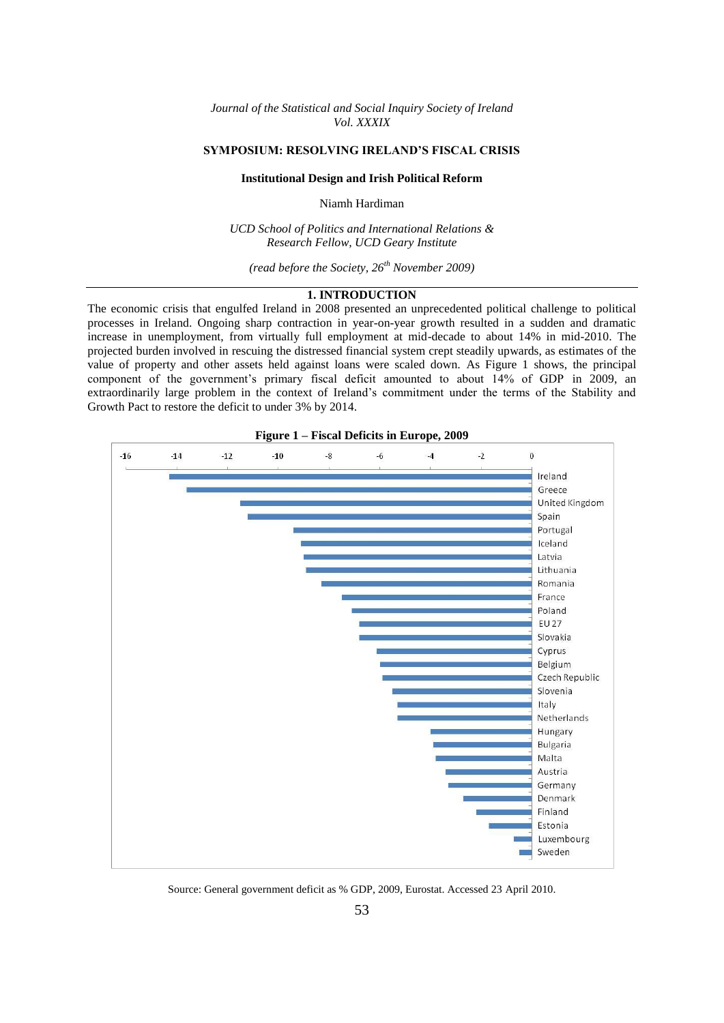*Journal of the Statistical and Social Inquiry Society of Ireland Vol. XXXIX*

## **SYMPOSIUM: RESOLVING IRELAND'S FISCAL CRISIS**

### **Institutional Design and Irish Political Reform**

Niamh Hardiman

*UCD School of Politics and International Relations & Research Fellow, UCD Geary Institute*

*(read before the Society, 26th November 2009)*

# **1. INTRODUCTION**

The economic crisis that engulfed Ireland in 2008 presented an unprecedented political challenge to political processes in Ireland. Ongoing sharp contraction in year-on-year growth resulted in a sudden and dramatic increase in unemployment, from virtually full employment at mid-decade to about 14% in mid-2010. The projected burden involved in rescuing the distressed financial system crept steadily upwards, as estimates of the value of property and other assets held against loans were scaled down. As Figure 1 shows, the principal component of the government's primary fiscal deficit amounted to about 14% of GDP in 2009, an extraordinarily large problem in the context of Ireland's commitment under the terms of the Stability and Growth Pact to restore the deficit to under 3% by 2014.



**Figure 1 – Fiscal Deficits in Europe, 2009**

Source: General government deficit as % GDP, 2009, Eurostat. Accessed 23 April 2010.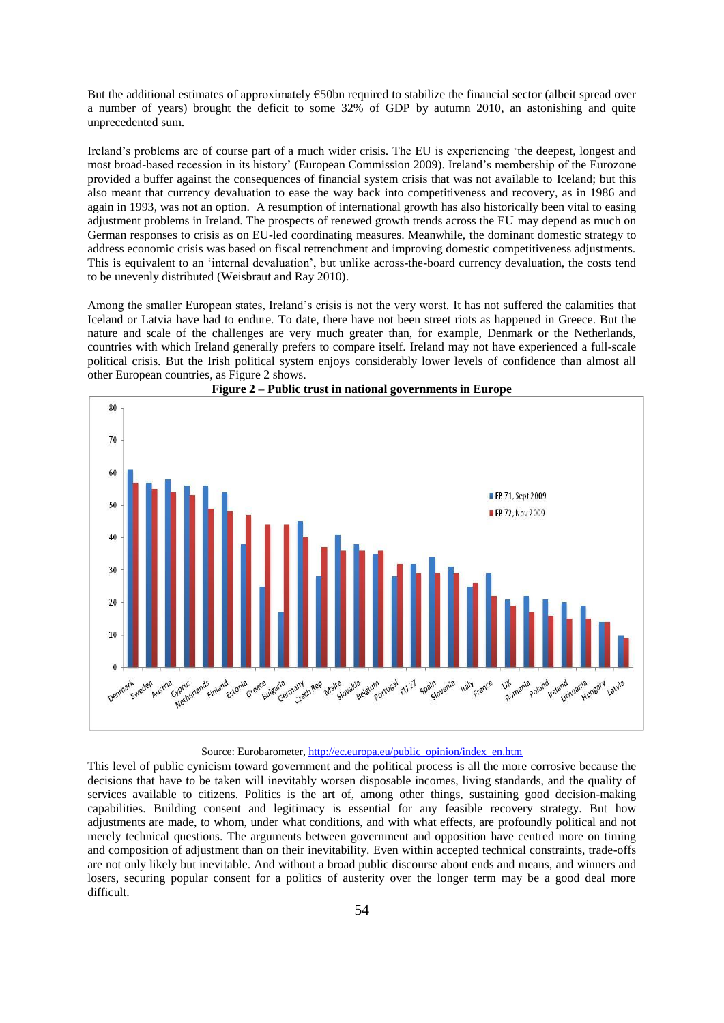But the additional estimates of approximately €50bn required to stabilize the financial sector (albeit spread over a number of years) brought the deficit to some 32% of GDP by autumn 2010, an astonishing and quite unprecedented sum.

Ireland's problems are of course part of a much wider crisis. The EU is experiencing 'the deepest, longest and most broad-based recession in its history' (European Commission 2009). Ireland's membership of the Eurozone provided a buffer against the consequences of financial system crisis that was not available to Iceland; but this also meant that currency devaluation to ease the way back into competitiveness and recovery, as in 1986 and again in 1993, was not an option. A resumption of international growth has also historically been vital to easing adjustment problems in Ireland. The prospects of renewed growth trends across the EU may depend as much on German responses to crisis as on EU-led coordinating measures. Meanwhile, the dominant domestic strategy to address economic crisis was based on fiscal retrenchment and improving domestic competitiveness adjustments. This is equivalent to an 'internal devaluation', but unlike across-the-board currency devaluation, the costs tend to be unevenly distributed (Weisbraut and Ray 2010).

Among the smaller European states, Ireland's crisis is not the very worst. It has not suffered the calamities that Iceland or Latvia have had to endure. To date, there have not been street riots as happened in Greece. But the nature and scale of the challenges are very much greater than, for example, Denmark or the Netherlands, countries with which Ireland generally prefers to compare itself. Ireland may not have experienced a full-scale political crisis. But the Irish political system enjoys considerably lower levels of confidence than almost all other European countries, as Figure 2 shows.





### Source: Eurobarometer, [http://ec.europa.eu/public\\_opinion/index\\_en.htm](http://ec.europa.eu/public_opinion/index_en.htm)

This level of public cynicism toward government and the political process is all the more corrosive because the decisions that have to be taken will inevitably worsen disposable incomes, living standards, and the quality of services available to citizens. Politics is the art of, among other things, sustaining good decision-making capabilities. Building consent and legitimacy is essential for any feasible recovery strategy. But how adjustments are made, to whom, under what conditions, and with what effects, are profoundly political and not merely technical questions. The arguments between government and opposition have centred more on timing and composition of adjustment than on their inevitability. Even within accepted technical constraints, trade-offs are not only likely but inevitable. And without a broad public discourse about ends and means, and winners and losers, securing popular consent for a politics of austerity over the longer term may be a good deal more difficult.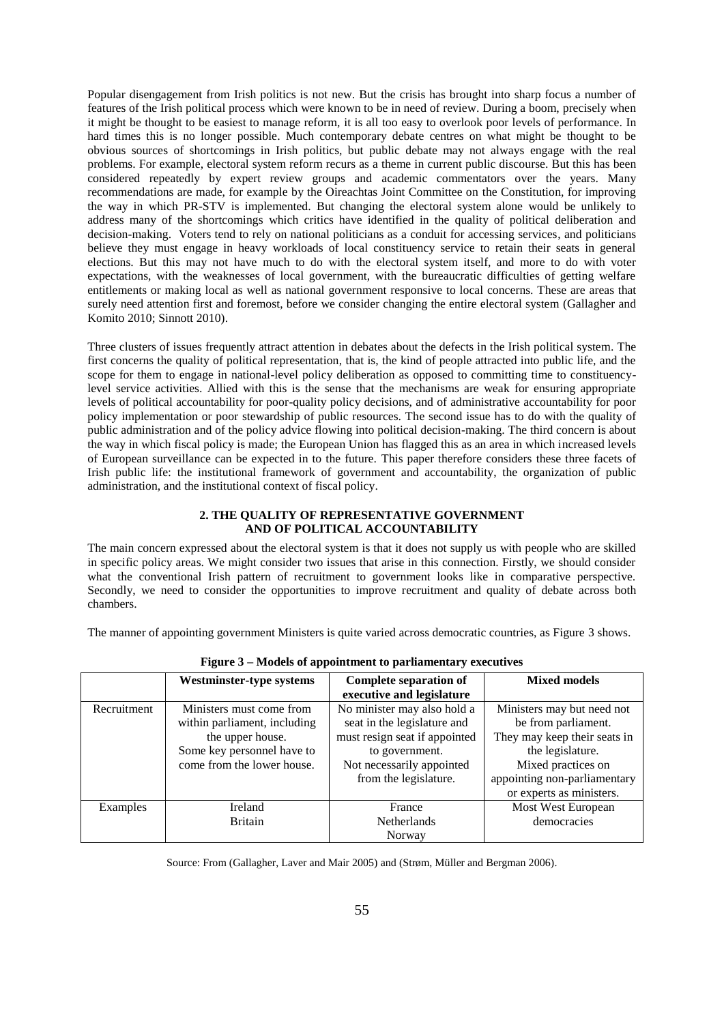Popular disengagement from Irish politics is not new. But the crisis has brought into sharp focus a number of features of the Irish political process which were known to be in need of review. During a boom, precisely when it might be thought to be easiest to manage reform, it is all too easy to overlook poor levels of performance. In hard times this is no longer possible. Much contemporary debate centres on what might be thought to be obvious sources of shortcomings in Irish politics, but public debate may not always engage with the real problems. For example, electoral system reform recurs as a theme in current public discourse. But this has been considered repeatedly by expert review groups and academic commentators over the years. Many recommendations are made, for example by the Oireachtas Joint Committee on the Constitution, for improving the way in which PR-STV is implemented. But changing the electoral system alone would be unlikely to address many of the shortcomings which critics have identified in the quality of political deliberation and decision-making. Voters tend to rely on national politicians as a conduit for accessing services, and politicians believe they must engage in heavy workloads of local constituency service to retain their seats in general elections. But this may not have much to do with the electoral system itself, and more to do with voter expectations, with the weaknesses of local government, with the bureaucratic difficulties of getting welfare entitlements or making local as well as national government responsive to local concerns. These are areas that surely need attention first and foremost, before we consider changing the entire electoral system (Gallagher and Komito 2010; Sinnott 2010).

Three clusters of issues frequently attract attention in debates about the defects in the Irish political system. The first concerns the quality of political representation, that is, the kind of people attracted into public life, and the scope for them to engage in national-level policy deliberation as opposed to committing time to constituencylevel service activities. Allied with this is the sense that the mechanisms are weak for ensuring appropriate levels of political accountability for poor-quality policy decisions, and of administrative accountability for poor policy implementation or poor stewardship of public resources. The second issue has to do with the quality of public administration and of the policy advice flowing into political decision-making. The third concern is about the way in which fiscal policy is made; the European Union has flagged this as an area in which increased levels of European surveillance can be expected in to the future. This paper therefore considers these three facets of Irish public life: the institutional framework of government and accountability, the organization of public administration, and the institutional context of fiscal policy.

### **2. THE QUALITY OF REPRESENTATIVE GOVERNMENT AND OF POLITICAL ACCOUNTABILITY**

The main concern expressed about the electoral system is that it does not supply us with people who are skilled in specific policy areas. We might consider two issues that arise in this connection. Firstly, we should consider what the conventional Irish pattern of recruitment to government looks like in comparative perspective. Secondly, we need to consider the opportunities to improve recruitment and quality of debate across both chambers.

The manner of appointing government Ministers is quite varied across democratic countries, as Figure 3 shows.

| $\mathbf{r}$ is the control of appointment to partitude that $\mathbf{r}$ execute the |                                                                                                                                          |                                                                                                                                                                     |                                                                                                                                                                                         |  |  |  |  |
|---------------------------------------------------------------------------------------|------------------------------------------------------------------------------------------------------------------------------------------|---------------------------------------------------------------------------------------------------------------------------------------------------------------------|-----------------------------------------------------------------------------------------------------------------------------------------------------------------------------------------|--|--|--|--|
|                                                                                       | Westminster-type systems                                                                                                                 | <b>Complete separation of</b><br>executive and legislature                                                                                                          | <b>Mixed models</b>                                                                                                                                                                     |  |  |  |  |
| Recruitment                                                                           | Ministers must come from<br>within parliament, including<br>the upper house.<br>Some key personnel have to<br>come from the lower house. | No minister may also hold a<br>seat in the legislature and<br>must resign seat if appointed<br>to government.<br>Not necessarily appointed<br>from the legislature. | Ministers may but need not<br>be from parliament.<br>They may keep their seats in<br>the legislature.<br>Mixed practices on<br>appointing non-parliamentary<br>or experts as ministers. |  |  |  |  |
| Examples                                                                              | Ireland                                                                                                                                  | France                                                                                                                                                              | Most West European                                                                                                                                                                      |  |  |  |  |
|                                                                                       | <b>Britain</b>                                                                                                                           | Netherlands                                                                                                                                                         | democracies                                                                                                                                                                             |  |  |  |  |
|                                                                                       |                                                                                                                                          | Norway                                                                                                                                                              |                                                                                                                                                                                         |  |  |  |  |

**Figure 3 – Models of appointment to parliamentary executives**

Source: From (Gallagher, Laver and Mair 2005) and (Strøm, Müller and Bergman 2006).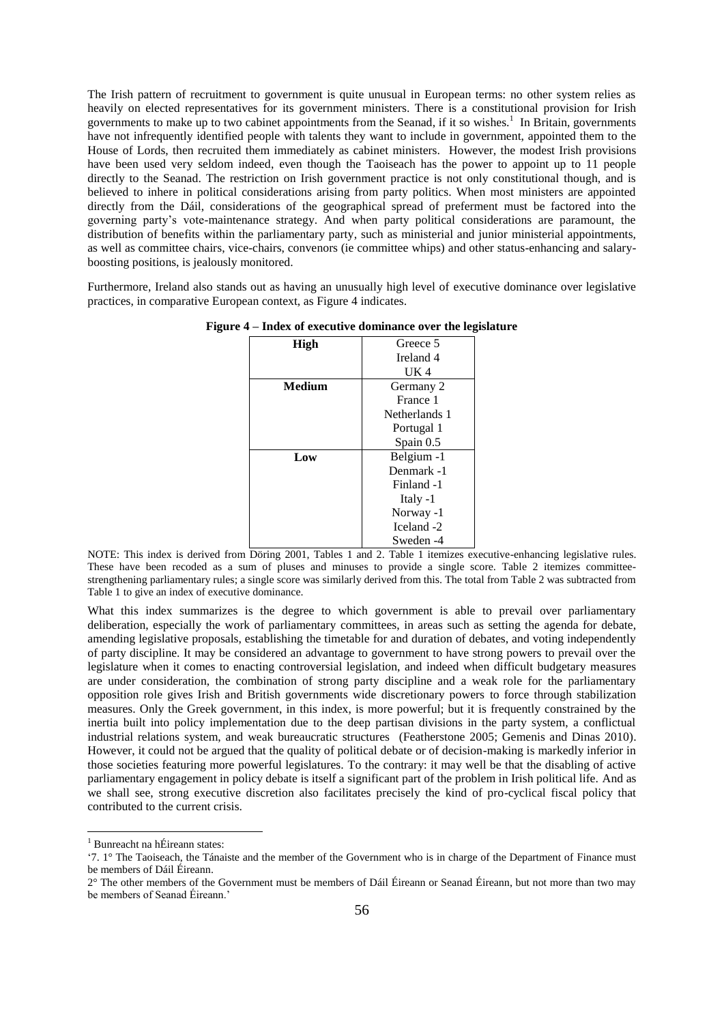The Irish pattern of recruitment to government is quite unusual in European terms: no other system relies as heavily on elected representatives for its government ministers. There is a constitutional provision for Irish governments to make up to two cabinet appointments from the Seanad, if it so wishes. 1 In Britain, governments have not infrequently identified people with talents they want to include in government, appointed them to the House of Lords, then recruited them immediately as cabinet ministers. However, the modest Irish provisions have been used very seldom indeed, even though the Taoiseach has the power to appoint up to 11 people directly to the Seanad. The restriction on Irish government practice is not only constitutional though, and is believed to inhere in political considerations arising from party politics. When most ministers are appointed directly from the Dáil, considerations of the geographical spread of preferment must be factored into the governing party's vote-maintenance strategy. And when party political considerations are paramount, the distribution of benefits within the parliamentary party, such as ministerial and junior ministerial appointments, as well as committee chairs, vice-chairs, convenors (ie committee whips) and other status-enhancing and salaryboosting positions, is jealously monitored.

Furthermore, Ireland also stands out as having an unusually high level of executive dominance over legislative practices, in comparative European context, as Figure 4 indicates.

| High   | Greece 5      |  |
|--------|---------------|--|
|        | Ireland 4     |  |
|        | UK 4          |  |
| Medium | Germany 2     |  |
|        | France 1      |  |
|        | Netherlands 1 |  |
|        | Portugal 1    |  |
|        | Spain $0.5$   |  |
| Low    | Belgium -1    |  |
|        | Denmark -1    |  |
|        | Finland -1    |  |
|        | Italy -1      |  |
|        | Norway -1     |  |
|        | Iceland -2    |  |
|        | Sweden -4     |  |

**Figure 4 – Index of executive dominance over the legislature**

NOTE: This index is derived from Döring 2001, Tables 1 and 2. Table 1 itemizes executive-enhancing legislative rules. These have been recoded as a sum of pluses and minuses to provide a single score. Table 2 itemizes committeestrengthening parliamentary rules; a single score was similarly derived from this. The total from Table 2 was subtracted from Table 1 to give an index of executive dominance.

What this index summarizes is the degree to which government is able to prevail over parliamentary deliberation, especially the work of parliamentary committees, in areas such as setting the agenda for debate, amending legislative proposals, establishing the timetable for and duration of debates, and voting independently of party discipline. It may be considered an advantage to government to have strong powers to prevail over the legislature when it comes to enacting controversial legislation, and indeed when difficult budgetary measures are under consideration, the combination of strong party discipline and a weak role for the parliamentary opposition role gives Irish and British governments wide discretionary powers to force through stabilization measures. Only the Greek government, in this index, is more powerful; but it is frequently constrained by the inertia built into policy implementation due to the deep partisan divisions in the party system, a conflictual industrial relations system, and weak bureaucratic structures (Featherstone 2005; Gemenis and Dinas 2010). However, it could not be argued that the quality of political debate or of decision-making is markedly inferior in those societies featuring more powerful legislatures. To the contrary: it may well be that the disabling of active parliamentary engagement in policy debate is itself a significant part of the problem in Irish political life. And as we shall see, strong executive discretion also facilitates precisely the kind of pro-cyclical fiscal policy that contributed to the current crisis.

**.** 

<sup>1</sup> Bunreacht na hÉireann states:

<sup>&#</sup>x27;7. 1° The Taoiseach, the Tánaiste and the member of the Government who is in charge of the Department of Finance must be members of Dáil Éireann.

<sup>2°</sup> The other members of the Government must be members of Dáil Éireann or Seanad Éireann, but not more than two may be members of Seanad Éireann.'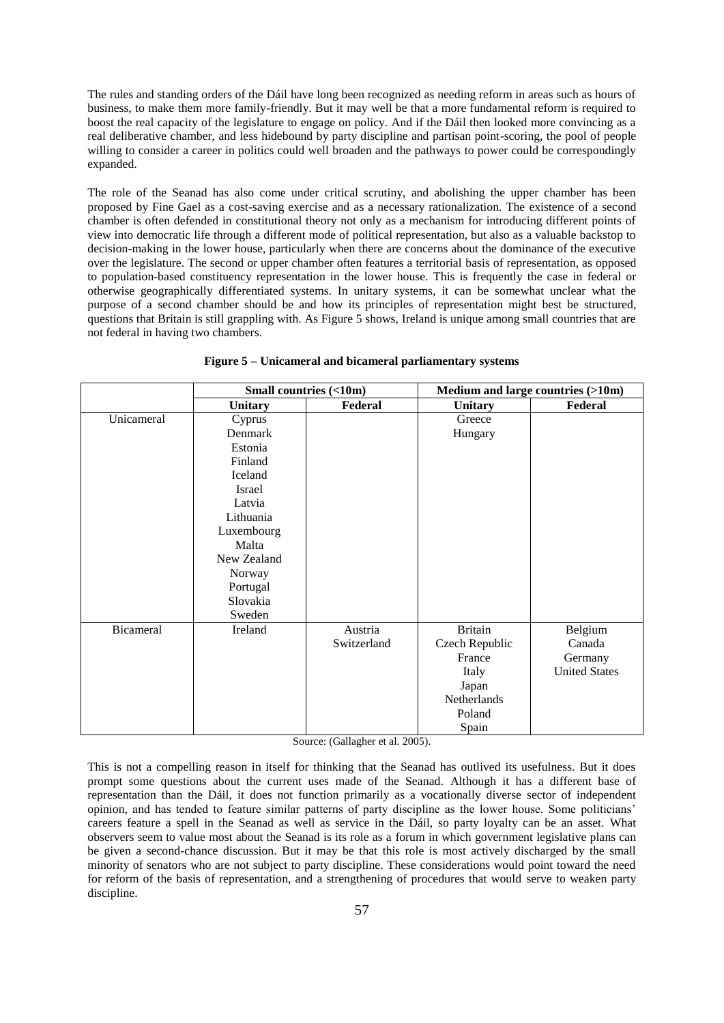The rules and standing orders of the Dáil have long been recognized as needing reform in areas such as hours of business, to make them more family-friendly. But it may well be that a more fundamental reform is required to boost the real capacity of the legislature to engage on policy. And if the Dáil then looked more convincing as a real deliberative chamber, and less hidebound by party discipline and partisan point-scoring, the pool of people willing to consider a career in politics could well broaden and the pathways to power could be correspondingly expanded.

The role of the Seanad has also come under critical scrutiny, and abolishing the upper chamber has been proposed by Fine Gael as a cost-saving exercise and as a necessary rationalization. The existence of a second chamber is often defended in constitutional theory not only as a mechanism for introducing different points of view into democratic life through a different mode of political representation, but also as a valuable backstop to decision-making in the lower house, particularly when there are concerns about the dominance of the executive over the legislature. The second or upper chamber often features a territorial basis of representation, as opposed to population-based constituency representation in the lower house. This is frequently the case in federal or otherwise geographically differentiated systems. In unitary systems, it can be somewhat unclear what the purpose of a second chamber should be and how its principles of representation might best be structured, questions that Britain is still grappling with. As Figure 5 shows, Ireland is unique among small countries that are not federal in having two chambers.

|            | Small countries (<10m) |             | Medium and large countries (>10m) |                      |
|------------|------------------------|-------------|-----------------------------------|----------------------|
|            | <b>Unitary</b>         | Federal     | <b>Unitary</b>                    | Federal              |
| Unicameral | Cyprus                 |             | Greece                            |                      |
|            | Denmark                |             | Hungary                           |                      |
|            | Estonia                |             |                                   |                      |
|            | Finland                |             |                                   |                      |
|            | Iceland                |             |                                   |                      |
|            | Israel                 |             |                                   |                      |
|            | Latvia                 |             |                                   |                      |
|            | Lithuania              |             |                                   |                      |
|            | Luxembourg             |             |                                   |                      |
|            | Malta                  |             |                                   |                      |
|            | New Zealand            |             |                                   |                      |
|            | Norway                 |             |                                   |                      |
|            | Portugal               |             |                                   |                      |
|            | Slovakia               |             |                                   |                      |
|            | Sweden                 |             |                                   |                      |
| Bicameral  | Ireland                | Austria     | <b>Britain</b>                    | Belgium              |
|            |                        | Switzerland | Czech Republic                    | Canada               |
|            |                        |             | France                            | Germany              |
|            |                        |             | Italy                             | <b>United States</b> |
|            |                        |             | Japan                             |                      |
|            |                        |             | Netherlands                       |                      |
|            |                        |             | Poland                            |                      |
|            |                        |             | Spain                             |                      |

**Figure 5 – Unicameral and bicameral parliamentary systems**

Source: (Gallagher et al. 2005).

This is not a compelling reason in itself for thinking that the Seanad has outlived its usefulness. But it does prompt some questions about the current uses made of the Seanad. Although it has a different base of representation than the Dáil, it does not function primarily as a vocationally diverse sector of independent opinion, and has tended to feature similar patterns of party discipline as the lower house. Some politicians' careers feature a spell in the Seanad as well as service in the Dáil, so party loyalty can be an asset. What observers seem to value most about the Seanad is its role as a forum in which government legislative plans can be given a second-chance discussion. But it may be that this role is most actively discharged by the small minority of senators who are not subject to party discipline. These considerations would point toward the need for reform of the basis of representation, and a strengthening of procedures that would serve to weaken party discipline.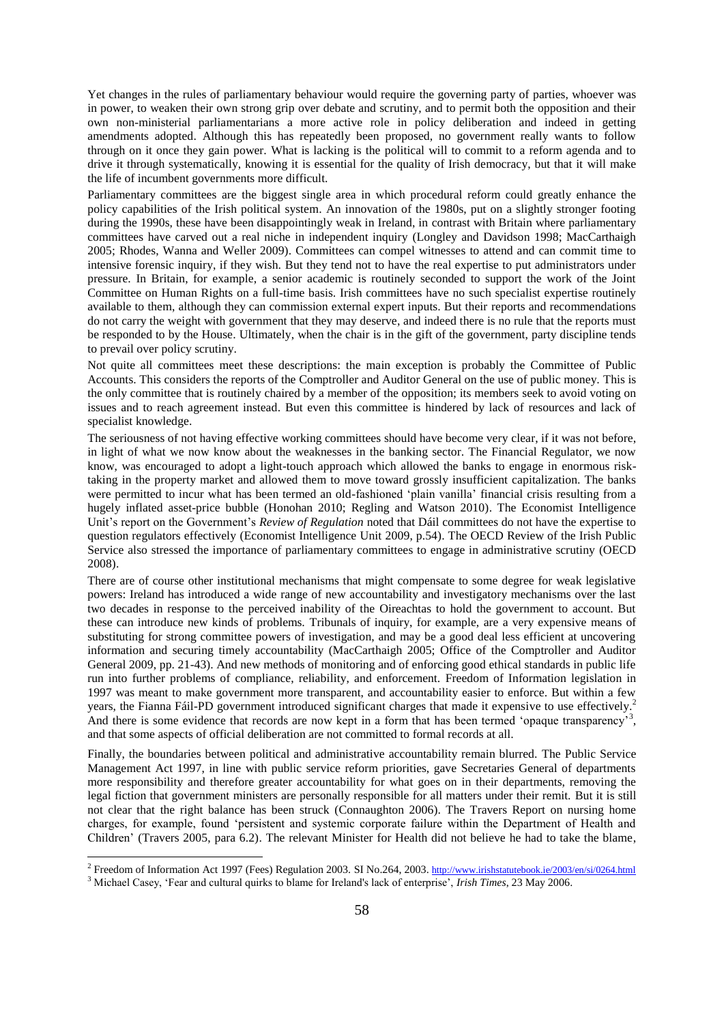Yet changes in the rules of parliamentary behaviour would require the governing party of parties, whoever was in power, to weaken their own strong grip over debate and scrutiny, and to permit both the opposition and their own non-ministerial parliamentarians a more active role in policy deliberation and indeed in getting amendments adopted. Although this has repeatedly been proposed, no government really wants to follow through on it once they gain power. What is lacking is the political will to commit to a reform agenda and to drive it through systematically, knowing it is essential for the quality of Irish democracy, but that it will make the life of incumbent governments more difficult.

Parliamentary committees are the biggest single area in which procedural reform could greatly enhance the policy capabilities of the Irish political system. An innovation of the 1980s, put on a slightly stronger footing during the 1990s, these have been disappointingly weak in Ireland, in contrast with Britain where parliamentary committees have carved out a real niche in independent inquiry (Longley and Davidson 1998; MacCarthaigh 2005; Rhodes, Wanna and Weller 2009). Committees can compel witnesses to attend and can commit time to intensive forensic inquiry, if they wish. But they tend not to have the real expertise to put administrators under pressure. In Britain, for example, a senior academic is routinely seconded to support the work of the Joint Committee on Human Rights on a full-time basis. Irish committees have no such specialist expertise routinely available to them, although they can commission external expert inputs. But their reports and recommendations do not carry the weight with government that they may deserve, and indeed there is no rule that the reports must be responded to by the House. Ultimately, when the chair is in the gift of the government, party discipline tends to prevail over policy scrutiny.

Not quite all committees meet these descriptions: the main exception is probably the Committee of Public Accounts. This considers the reports of the Comptroller and Auditor General on the use of public money. This is the only committee that is routinely chaired by a member of the opposition; its members seek to avoid voting on issues and to reach agreement instead. But even this committee is hindered by lack of resources and lack of specialist knowledge.

The seriousness of not having effective working committees should have become very clear, if it was not before, in light of what we now know about the weaknesses in the banking sector. The Financial Regulator, we now know, was encouraged to adopt a light-touch approach which allowed the banks to engage in enormous risktaking in the property market and allowed them to move toward grossly insufficient capitalization. The banks were permitted to incur what has been termed an old-fashioned 'plain vanilla' financial crisis resulting from a hugely inflated asset-price bubble (Honohan 2010; Regling and Watson 2010). The Economist Intelligence Unit's report on the Government's *Review of Regulation* noted that Dáil committees do not have the expertise to question regulators effectively (Economist Intelligence Unit 2009, p.54). The OECD Review of the Irish Public Service also stressed the importance of parliamentary committees to engage in administrative scrutiny (OECD 2008).

There are of course other institutional mechanisms that might compensate to some degree for weak legislative powers: Ireland has introduced a wide range of new accountability and investigatory mechanisms over the last two decades in response to the perceived inability of the Oireachtas to hold the government to account. But these can introduce new kinds of problems. Tribunals of inquiry, for example, are a very expensive means of substituting for strong committee powers of investigation, and may be a good deal less efficient at uncovering information and securing timely accountability (MacCarthaigh 2005; Office of the Comptroller and Auditor General 2009, pp. 21-43). And new methods of monitoring and of enforcing good ethical standards in public life run into further problems of compliance, reliability, and enforcement. Freedom of Information legislation in 1997 was meant to make government more transparent, and accountability easier to enforce. But within a few years, the Fianna Fáil-PD government introduced significant charges that made it expensive to use effectively.<sup>2</sup> And there is some evidence that records are now kept in a form that has been termed 'opaque transparency'<sup>3</sup>, and that some aspects of official deliberation are not committed to formal records at all.

Finally, the boundaries between political and administrative accountability remain blurred. The Public Service Management Act 1997, in line with public service reform priorities, gave Secretaries General of departments more responsibility and therefore greater accountability for what goes on in their departments, removing the legal fiction that government ministers are personally responsible for all matters under their remit. But it is still not clear that the right balance has been struck (Connaughton 2006). The Travers Report on nursing home charges, for example, found 'persistent and systemic corporate failure within the Department of Health and Children' (Travers 2005, para 6.2). The relevant Minister for Health did not believe he had to take the blame,

1

<sup>&</sup>lt;sup>2</sup> Freedom of Information Act 1997 (Fees) Regulation 2003. SI No.264, 2003. <http://www.irishstatutebook.ie/2003/en/si/0264.html>

<sup>3</sup> Michael Casey, 'Fear and cultural quirks to blame for Ireland's lack of enterprise', *Irish Times*, 23 May 2006.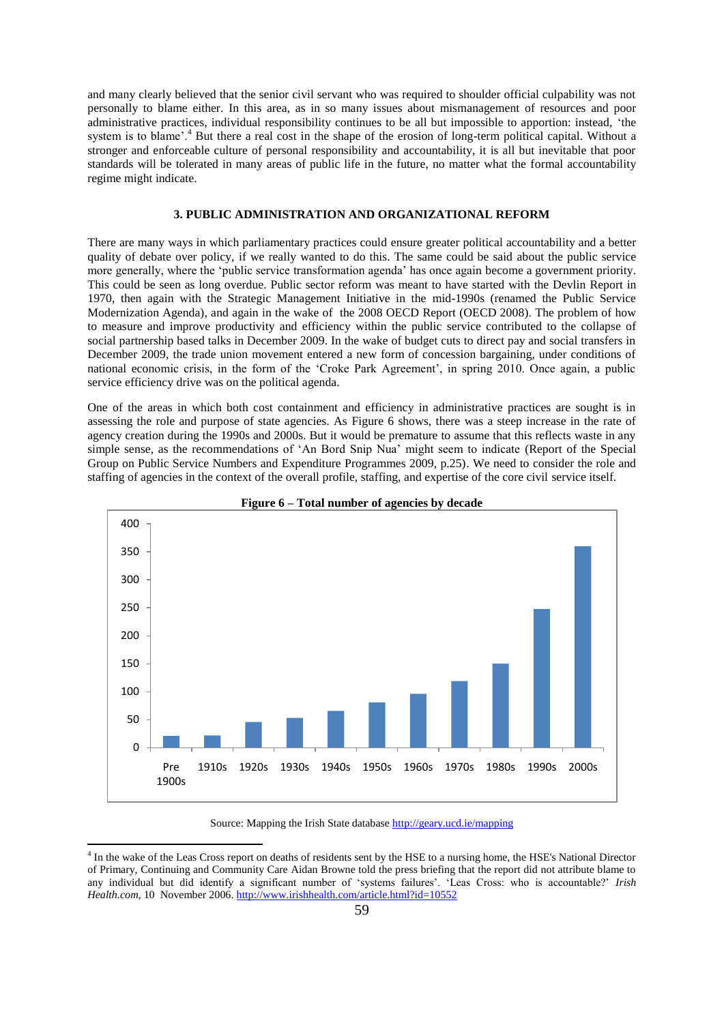and many clearly believed that the senior civil servant who was required to shoulder official culpability was not personally to blame either. In this area, as in so many issues about mismanagement of resources and poor administrative practices, individual responsibility continues to be all but impossible to apportion: instead, 'the system is to blame'.<sup>4</sup> But there a real cost in the shape of the erosion of long-term political capital. Without a stronger and enforceable culture of personal responsibility and accountability, it is all but inevitable that poor standards will be tolerated in many areas of public life in the future, no matter what the formal accountability regime might indicate.

#### **3. PUBLIC ADMINISTRATION AND ORGANIZATIONAL REFORM**

There are many ways in which parliamentary practices could ensure greater political accountability and a better quality of debate over policy, if we really wanted to do this. The same could be said about the public service more generally, where the 'public service transformation agenda' has once again become a government priority. This could be seen as long overdue. Public sector reform was meant to have started with the Devlin Report in 1970, then again with the Strategic Management Initiative in the mid-1990s (renamed the Public Service Modernization Agenda), and again in the wake of the 2008 OECD Report (OECD 2008). The problem of how to measure and improve productivity and efficiency within the public service contributed to the collapse of social partnership based talks in December 2009. In the wake of budget cuts to direct pay and social transfers in December 2009, the trade union movement entered a new form of concession bargaining, under conditions of national economic crisis, in the form of the 'Croke Park Agreement', in spring 2010. Once again, a public service efficiency drive was on the political agenda.

One of the areas in which both cost containment and efficiency in administrative practices are sought is in assessing the role and purpose of state agencies. As Figure 6 shows, there was a steep increase in the rate of agency creation during the 1990s and 2000s. But it would be premature to assume that this reflects waste in any simple sense, as the recommendations of 'An Bord Snip Nua' might seem to indicate (Report of the Special Group on Public Service Numbers and Expenditure Programmes 2009, p.25). We need to consider the role and staffing of agencies in the context of the overall profile, staffing, and expertise of the core civil service itself.





Source: Mapping the Irish State database<http://geary.ucd.ie/mapping>

**.** 

<sup>&</sup>lt;sup>4</sup> In the wake of the Leas Cross report on deaths of residents sent by the HSE to a nursing home, the HSE's National Director of Primary, Continuing and Community Care Aidan Browne told the press briefing that the report did not attribute blame to any individual but did identify a significant number of 'systems failures'. 'Leas Cross: who is accountable?' *Irish Health.com*, 10 November 2006[. http://www.irishhealth.com/article.html?id=10552](http://www.irishhealth.com/article.html?id=10552)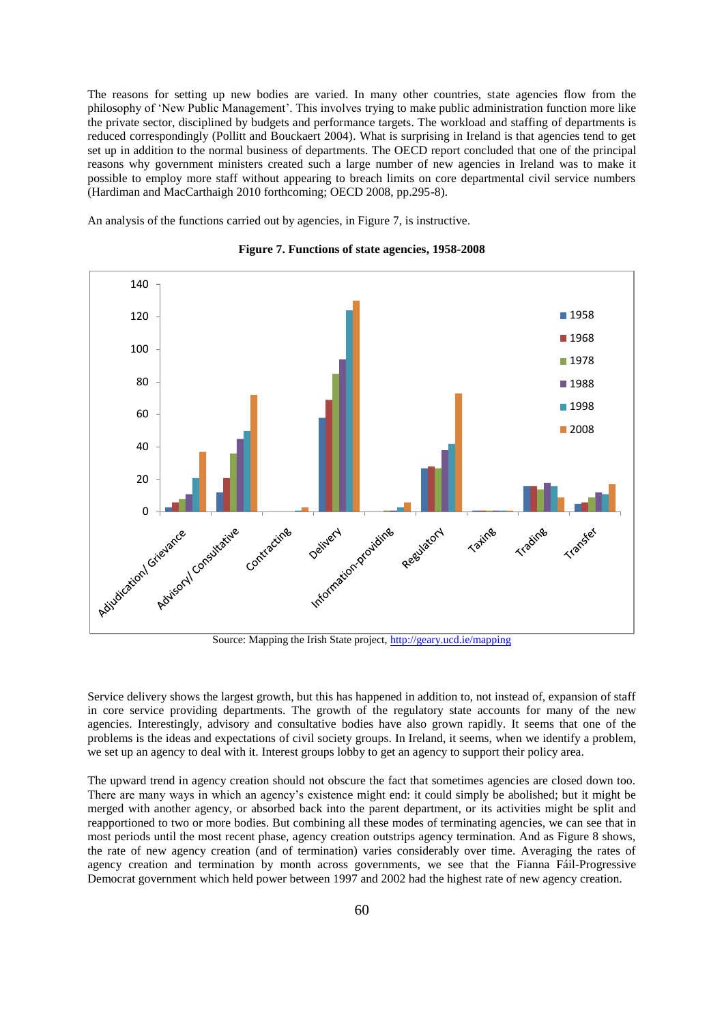The reasons for setting up new bodies are varied. In many other countries, state agencies flow from the philosophy of 'New Public Management'. This involves trying to make public administration function more like the private sector, disciplined by budgets and performance targets. The workload and staffing of departments is reduced correspondingly (Pollitt and Bouckaert 2004). What is surprising in Ireland is that agencies tend to get set up in addition to the normal business of departments. The OECD report concluded that one of the principal reasons why government ministers created such a large number of new agencies in Ireland was to make it possible to employ more staff without appearing to breach limits on core departmental civil service numbers (Hardiman and MacCarthaigh 2010 forthcoming; OECD 2008, pp.295-8).

An analysis of the functions carried out by agencies, in Figure 7, is instructive.



### **Figure 7. Functions of state agencies, 1958-2008**

Source: Mapping the Irish State project,<http://geary.ucd.ie/mapping>

Service delivery shows the largest growth, but this has happened in addition to, not instead of, expansion of staff in core service providing departments. The growth of the regulatory state accounts for many of the new agencies. Interestingly, advisory and consultative bodies have also grown rapidly. It seems that one of the problems is the ideas and expectations of civil society groups. In Ireland, it seems, when we identify a problem, we set up an agency to deal with it. Interest groups lobby to get an agency to support their policy area.

The upward trend in agency creation should not obscure the fact that sometimes agencies are closed down too. There are many ways in which an agency's existence might end: it could simply be abolished; but it might be merged with another agency, or absorbed back into the parent department, or its activities might be split and reapportioned to two or more bodies. But combining all these modes of terminating agencies, we can see that in most periods until the most recent phase, agency creation outstrips agency termination. And as Figure 8 shows, the rate of new agency creation (and of termination) varies considerably over time. Averaging the rates of agency creation and termination by month across governments, we see that the Fianna Fáil-Progressive Democrat government which held power between 1997 and 2002 had the highest rate of new agency creation.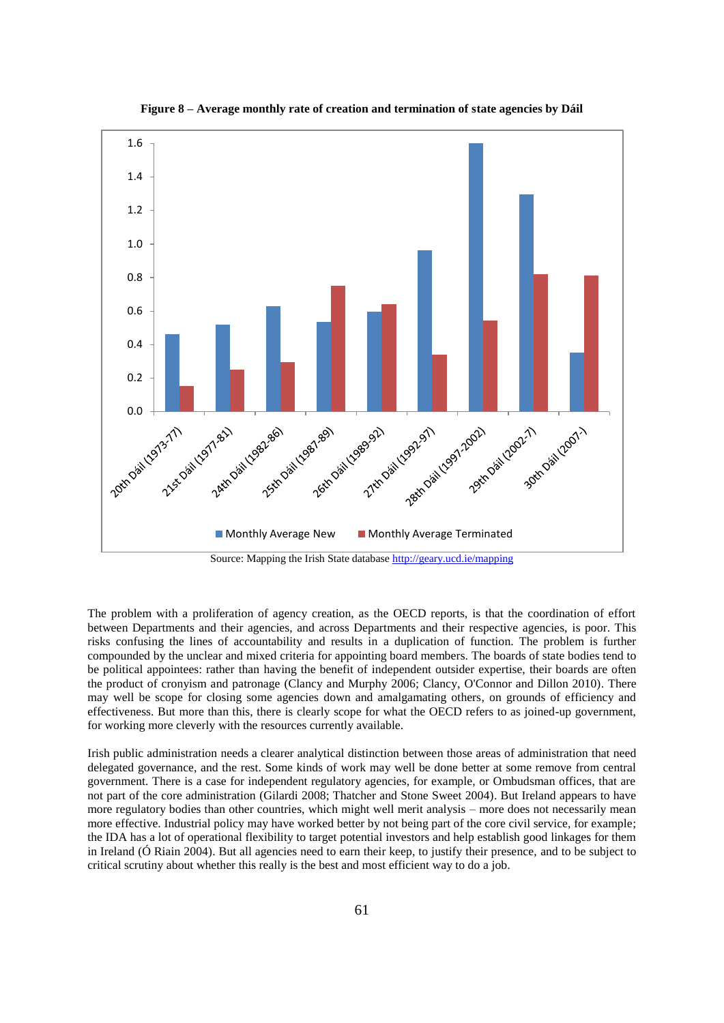

**Figure 8 – Average monthly rate of creation and termination of state agencies by Dáil**

Source: Mapping the Irish State database<http://geary.ucd.ie/mapping>

The problem with a proliferation of agency creation, as the OECD reports, is that the coordination of effort between Departments and their agencies, and across Departments and their respective agencies, is poor. This risks confusing the lines of accountability and results in a duplication of function. The problem is further compounded by the unclear and mixed criteria for appointing board members. The boards of state bodies tend to be political appointees: rather than having the benefit of independent outsider expertise, their boards are often the product of cronyism and patronage (Clancy and Murphy 2006; Clancy, O'Connor and Dillon 2010). There may well be scope for closing some agencies down and amalgamating others, on grounds of efficiency and effectiveness. But more than this, there is clearly scope for what the OECD refers to as joined-up government, for working more cleverly with the resources currently available.

Irish public administration needs a clearer analytical distinction between those areas of administration that need delegated governance, and the rest. Some kinds of work may well be done better at some remove from central government. There is a case for independent regulatory agencies, for example, or Ombudsman offices, that are not part of the core administration (Gilardi 2008; Thatcher and Stone Sweet 2004). But Ireland appears to have more regulatory bodies than other countries, which might well merit analysis – more does not necessarily mean more effective. Industrial policy may have worked better by not being part of the core civil service, for example; the IDA has a lot of operational flexibility to target potential investors and help establish good linkages for them in Ireland (Ó Riain 2004). But all agencies need to earn their keep, to justify their presence, and to be subject to critical scrutiny about whether this really is the best and most efficient way to do a job.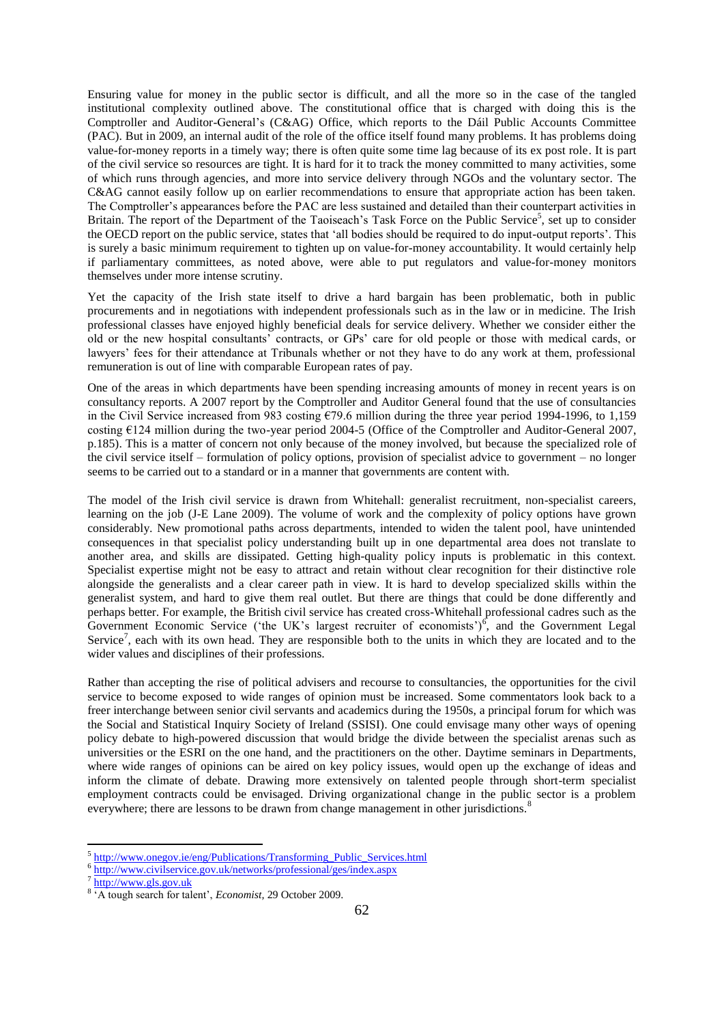Ensuring value for money in the public sector is difficult, and all the more so in the case of the tangled institutional complexity outlined above. The constitutional office that is charged with doing this is the Comptroller and Auditor-General's (C&AG) Office, which reports to the Dáil Public Accounts Committee (PAC). But in 2009, an internal audit of the role of the office itself found many problems. It has problems doing value-for-money reports in a timely way; there is often quite some time lag because of its ex post role. It is part of the civil service so resources are tight. It is hard for it to track the money committed to many activities, some of which runs through agencies, and more into service delivery through NGOs and the voluntary sector. The C&AG cannot easily follow up on earlier recommendations to ensure that appropriate action has been taken. The Comptroller's appearances before the PAC are less sustained and detailed than their counterpart activities in Britain. The report of the Department of the Taoiseach's Task Force on the Public Service<sup>5</sup>, set up to consider the OECD report on the public service, states that 'all bodies should be required to do input-output reports'. This is surely a basic minimum requirement to tighten up on value-for-money accountability. It would certainly help if parliamentary committees, as noted above, were able to put regulators and value-for-money monitors themselves under more intense scrutiny.

Yet the capacity of the Irish state itself to drive a hard bargain has been problematic, both in public procurements and in negotiations with independent professionals such as in the law or in medicine. The Irish professional classes have enjoyed highly beneficial deals for service delivery. Whether we consider either the old or the new hospital consultants' contracts, or GPs' care for old people or those with medical cards, or lawyers' fees for their attendance at Tribunals whether or not they have to do any work at them, professional remuneration is out of line with comparable European rates of pay.

One of the areas in which departments have been spending increasing amounts of money in recent years is on consultancy reports. A 2007 report by the Comptroller and Auditor General found that the use of consultancies in the Civil Service increased from 983 costing €79.6 million during the three year period 1994-1996, to 1,159 costing €124 million during the two-year period 2004-5 (Office of the Comptroller and Auditor-General 2007, p.185). This is a matter of concern not only because of the money involved, but because the specialized role of the civil service itself – formulation of policy options, provision of specialist advice to government – no longer seems to be carried out to a standard or in a manner that governments are content with.

The model of the Irish civil service is drawn from Whitehall: generalist recruitment, non-specialist careers, learning on the job (J-E Lane 2009). The volume of work and the complexity of policy options have grown considerably. New promotional paths across departments, intended to widen the talent pool, have unintended consequences in that specialist policy understanding built up in one departmental area does not translate to another area, and skills are dissipated. Getting high-quality policy inputs is problematic in this context. Specialist expertise might not be easy to attract and retain without clear recognition for their distinctive role alongside the generalists and a clear career path in view. It is hard to develop specialized skills within the generalist system, and hard to give them real outlet. But there are things that could be done differently and perhaps better. For example, the British civil service has created cross-Whitehall professional cadres such as the Government Economic Service ('the UK's largest recruiter of economists') $\frac{6}{9}$ , and the Government Legal Service<sup>7</sup>, each with its own head. They are responsible both to the units in which they are located and to the wider values and disciplines of their professions.

Rather than accepting the rise of political advisers and recourse to consultancies, the opportunities for the civil service to become exposed to wide ranges of opinion must be increased. Some commentators look back to a freer interchange between senior civil servants and academics during the 1950s, a principal forum for which was the Social and Statistical Inquiry Society of Ireland (SSISI). One could envisage many other ways of opening policy debate to high-powered discussion that would bridge the divide between the specialist arenas such as universities or the ESRI on the one hand, and the practitioners on the other. Daytime seminars in Departments, where wide ranges of opinions can be aired on key policy issues, would open up the exchange of ideas and inform the climate of debate. Drawing more extensively on talented people through short-term specialist employment contracts could be envisaged. Driving organizational change in the public sector is a problem everywhere; there are lessons to be drawn from change management in other jurisdictions.<sup>8</sup>

<sup>-&</sup>lt;br><sup>5</sup> [http://www.onegov.ie/eng/Publications/Transforming\\_Public\\_Services.html](http://www.onegov.ie/eng/Publications/Transforming_Public_Services.html)

<sup>&</sup>lt;sup>6</sup> <http://www.civilservice.gov.uk/networks/professional/ges/index.aspx><br>7 http://www.cls.gov.uk

[http://www.gls.gov.uk](http://www.gls.gov.uk/)

<sup>&</sup>lt;sup>8</sup> A tough search for talent', *Economist*, 29 October 2009.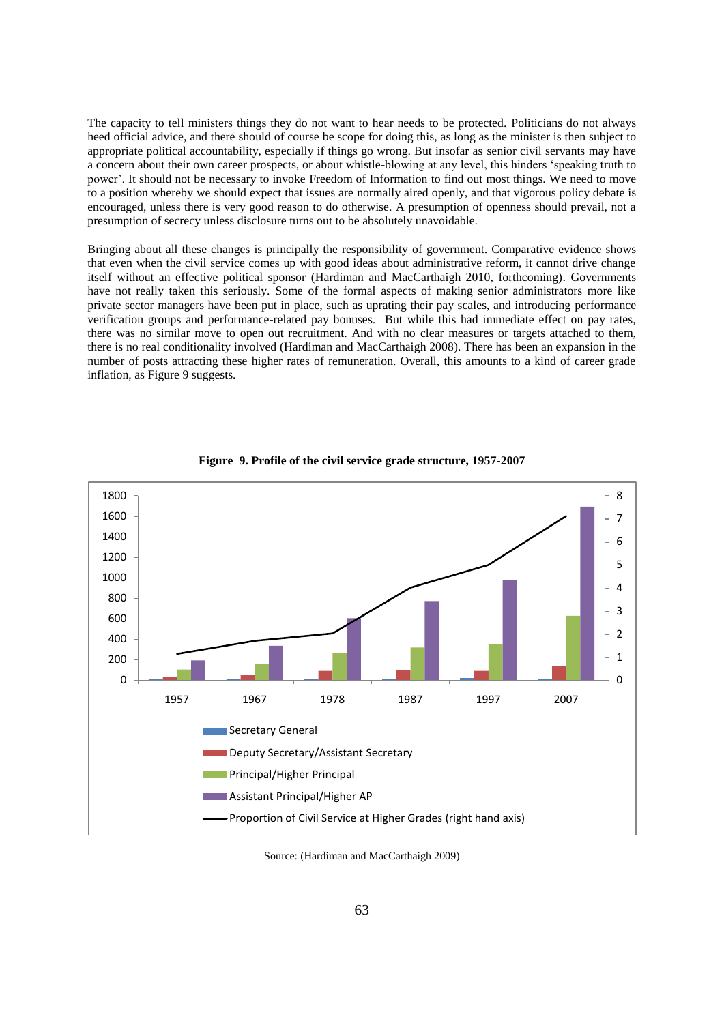The capacity to tell ministers things they do not want to hear needs to be protected. Politicians do not always heed official advice, and there should of course be scope for doing this, as long as the minister is then subject to appropriate political accountability, especially if things go wrong. But insofar as senior civil servants may have a concern about their own career prospects, or about whistle-blowing at any level, this hinders 'speaking truth to power'. It should not be necessary to invoke Freedom of Information to find out most things. We need to move to a position whereby we should expect that issues are normally aired openly, and that vigorous policy debate is encouraged, unless there is very good reason to do otherwise. A presumption of openness should prevail, not a presumption of secrecy unless disclosure turns out to be absolutely unavoidable.

Bringing about all these changes is principally the responsibility of government. Comparative evidence shows that even when the civil service comes up with good ideas about administrative reform, it cannot drive change itself without an effective political sponsor (Hardiman and MacCarthaigh 2010, forthcoming). Governments have not really taken this seriously. Some of the formal aspects of making senior administrators more like private sector managers have been put in place, such as uprating their pay scales, and introducing performance verification groups and performance-related pay bonuses. But while this had immediate effect on pay rates, there was no similar move to open out recruitment. And with no clear measures or targets attached to them, there is no real conditionality involved (Hardiman and MacCarthaigh 2008). There has been an expansion in the number of posts attracting these higher rates of remuneration. Overall, this amounts to a kind of career grade inflation, as Figure 9 suggests.



**Figure 9. Profile of the civil service grade structure, 1957-2007**

Source: (Hardiman and MacCarthaigh 2009)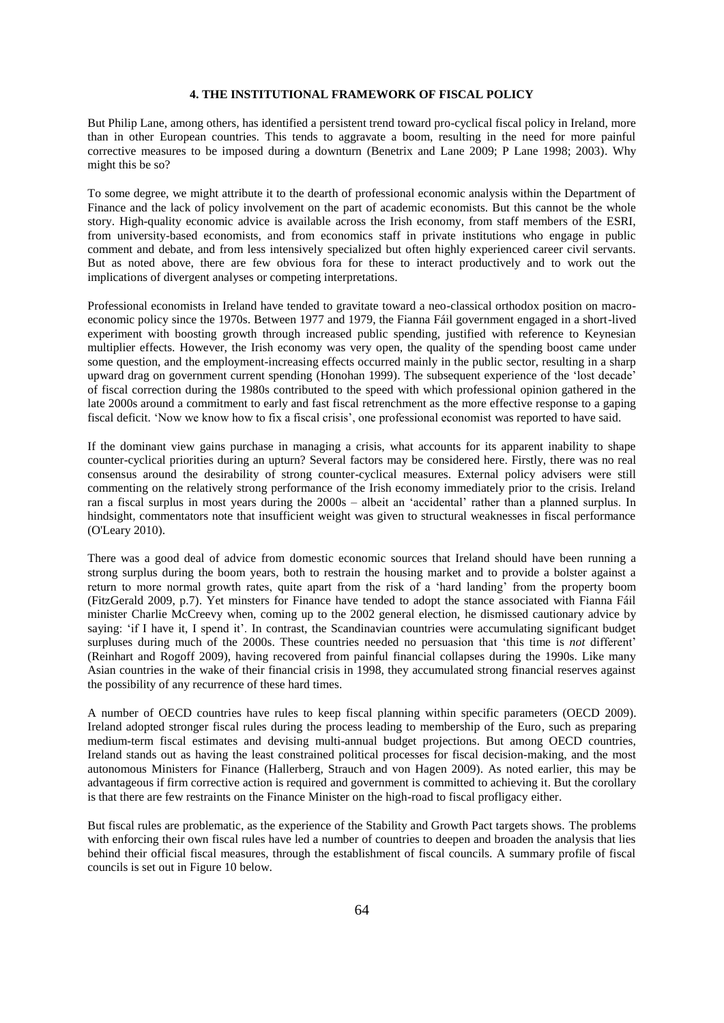### **4. THE INSTITUTIONAL FRAMEWORK OF FISCAL POLICY**

But Philip Lane, among others, has identified a persistent trend toward pro-cyclical fiscal policy in Ireland, more than in other European countries. This tends to aggravate a boom, resulting in the need for more painful corrective measures to be imposed during a downturn (Benetrix and Lane 2009; P Lane 1998; 2003). Why might this be so?

To some degree, we might attribute it to the dearth of professional economic analysis within the Department of Finance and the lack of policy involvement on the part of academic economists. But this cannot be the whole story. High-quality economic advice is available across the Irish economy, from staff members of the ESRI, from university-based economists, and from economics staff in private institutions who engage in public comment and debate, and from less intensively specialized but often highly experienced career civil servants. But as noted above, there are few obvious fora for these to interact productively and to work out the implications of divergent analyses or competing interpretations.

Professional economists in Ireland have tended to gravitate toward a neo-classical orthodox position on macroeconomic policy since the 1970s. Between 1977 and 1979, the Fianna Fáil government engaged in a short-lived experiment with boosting growth through increased public spending, justified with reference to Keynesian multiplier effects. However, the Irish economy was very open, the quality of the spending boost came under some question, and the employment-increasing effects occurred mainly in the public sector, resulting in a sharp upward drag on government current spending (Honohan 1999). The subsequent experience of the 'lost decade' of fiscal correction during the 1980s contributed to the speed with which professional opinion gathered in the late 2000s around a commitment to early and fast fiscal retrenchment as the more effective response to a gaping fiscal deficit. 'Now we know how to fix a fiscal crisis', one professional economist was reported to have said.

If the dominant view gains purchase in managing a crisis, what accounts for its apparent inability to shape counter-cyclical priorities during an upturn? Several factors may be considered here. Firstly, there was no real consensus around the desirability of strong counter-cyclical measures. External policy advisers were still commenting on the relatively strong performance of the Irish economy immediately prior to the crisis. Ireland ran a fiscal surplus in most years during the 2000s – albeit an 'accidental' rather than a planned surplus. In hindsight, commentators note that insufficient weight was given to structural weaknesses in fiscal performance (O'Leary 2010).

There was a good deal of advice from domestic economic sources that Ireland should have been running a strong surplus during the boom years, both to restrain the housing market and to provide a bolster against a return to more normal growth rates, quite apart from the risk of a 'hard landing' from the property boom (FitzGerald 2009, p.7). Yet minsters for Finance have tended to adopt the stance associated with Fianna Fáil minister Charlie McCreevy when, coming up to the 2002 general election, he dismissed cautionary advice by saying: 'if I have it, I spend it'. In contrast, the Scandinavian countries were accumulating significant budget surpluses during much of the 2000s. These countries needed no persuasion that 'this time is *not* different' (Reinhart and Rogoff 2009), having recovered from painful financial collapses during the 1990s. Like many Asian countries in the wake of their financial crisis in 1998, they accumulated strong financial reserves against the possibility of any recurrence of these hard times.

A number of OECD countries have rules to keep fiscal planning within specific parameters (OECD 2009). Ireland adopted stronger fiscal rules during the process leading to membership of the Euro, such as preparing medium-term fiscal estimates and devising multi-annual budget projections. But among OECD countries, Ireland stands out as having the least constrained political processes for fiscal decision-making, and the most autonomous Ministers for Finance (Hallerberg, Strauch and von Hagen 2009). As noted earlier, this may be advantageous if firm corrective action is required and government is committed to achieving it. But the corollary is that there are few restraints on the Finance Minister on the high-road to fiscal profligacy either.

But fiscal rules are problematic, as the experience of the Stability and Growth Pact targets shows. The problems with enforcing their own fiscal rules have led a number of countries to deepen and broaden the analysis that lies behind their official fiscal measures, through the establishment of fiscal councils. A summary profile of fiscal councils is set out in Figure 10 below.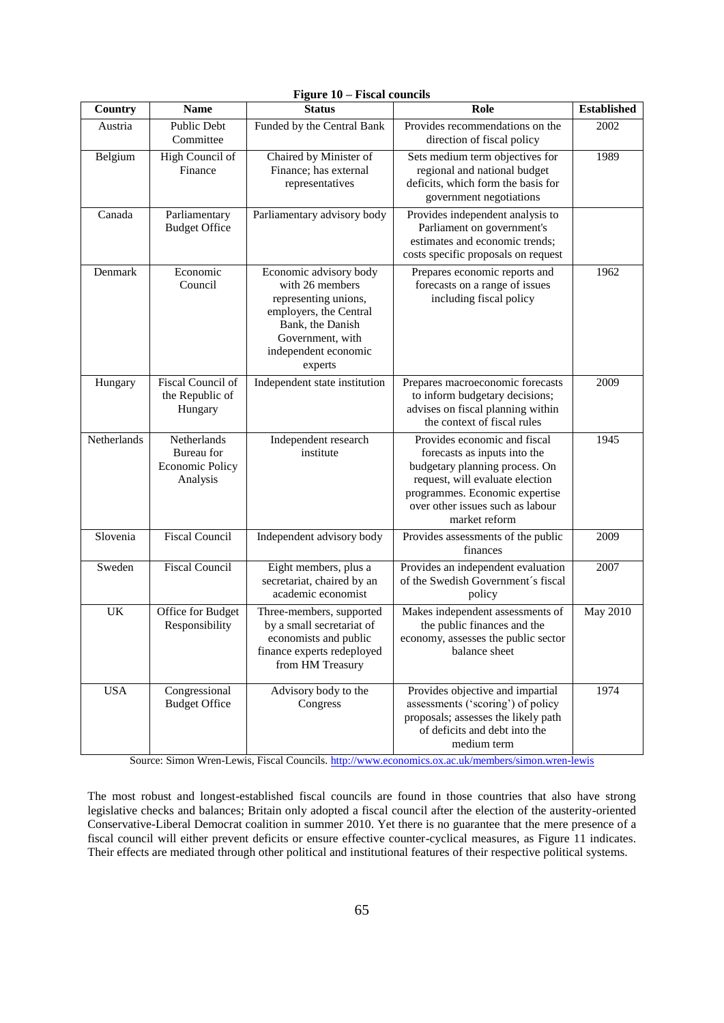| Country     | <b>Name</b>                                                     | <b>Status</b>                                                                                                                                                          | Role                                                                                                                                                                                                                     | <b>Established</b> |
|-------------|-----------------------------------------------------------------|------------------------------------------------------------------------------------------------------------------------------------------------------------------------|--------------------------------------------------------------------------------------------------------------------------------------------------------------------------------------------------------------------------|--------------------|
| Austria     | Public Debt<br>Committee                                        | Funded by the Central Bank                                                                                                                                             | Provides recommendations on the<br>direction of fiscal policy                                                                                                                                                            | 2002               |
| Belgium     | High Council of<br>Finance                                      | Chaired by Minister of<br>Finance; has external<br>representatives                                                                                                     | Sets medium term objectives for<br>regional and national budget<br>deficits, which form the basis for<br>government negotiations                                                                                         | 1989               |
| Canada      | Parliamentary<br><b>Budget Office</b>                           | Parliamentary advisory body                                                                                                                                            | Provides independent analysis to<br>Parliament on government's<br>estimates and economic trends;<br>costs specific proposals on request                                                                                  |                    |
| Denmark     | Economic<br>Council                                             | Economic advisory body<br>with 26 members<br>representing unions,<br>employers, the Central<br>Bank, the Danish<br>Government, with<br>independent economic<br>experts | Prepares economic reports and<br>forecasts on a range of issues<br>including fiscal policy                                                                                                                               | 1962               |
| Hungary     | Fiscal Council of<br>the Republic of<br>Hungary                 | Independent state institution                                                                                                                                          | Prepares macroeconomic forecasts<br>to inform budgetary decisions;<br>advises on fiscal planning within<br>the context of fiscal rules                                                                                   | 2009               |
| Netherlands | Netherlands<br>Bureau for<br><b>Economic Policy</b><br>Analysis | Independent research<br>institute                                                                                                                                      | Provides economic and fiscal<br>forecasts as inputs into the<br>budgetary planning process. On<br>request, will evaluate election<br>programmes. Economic expertise<br>over other issues such as labour<br>market reform | 1945               |
| Slovenia    | <b>Fiscal Council</b>                                           | Independent advisory body                                                                                                                                              | Provides assessments of the public<br>finances                                                                                                                                                                           | 2009               |
| Sweden      | <b>Fiscal Council</b>                                           | Eight members, plus a<br>secretariat, chaired by an<br>academic economist                                                                                              | Provides an independent evaluation<br>of the Swedish Government's fiscal<br>policy                                                                                                                                       | 2007               |
| UK          | Office for Budget<br>Responsibility                             | Three-members, supported<br>by a small secretariat of<br>economists and public<br>finance experts redeployed<br>from HM Treasury                                       | Makes independent assessments of<br>the public finances and the<br>economy, assesses the public sector<br>balance sheet                                                                                                  | <b>May 2010</b>    |
| <b>USA</b>  | Congressional<br><b>Budget Office</b>                           | Advisory body to the<br>Congress                                                                                                                                       | Provides objective and impartial<br>assessments ('scoring') of policy<br>proposals; assesses the likely path<br>of deficits and debt into the<br>medium term                                                             | 1974               |

# **Figure 10 – Fiscal councils**

Source: Simon Wren-Lewis, Fiscal Councils.<http://www.economics.ox.ac.uk/members/simon.wren-lewis>

The most robust and longest-established fiscal councils are found in those countries that also have strong legislative checks and balances; Britain only adopted a fiscal council after the election of the austerity-oriented Conservative-Liberal Democrat coalition in summer 2010. Yet there is no guarantee that the mere presence of a fiscal council will either prevent deficits or ensure effective counter-cyclical measures, as Figure 11 indicates. Their effects are mediated through other political and institutional features of their respective political systems.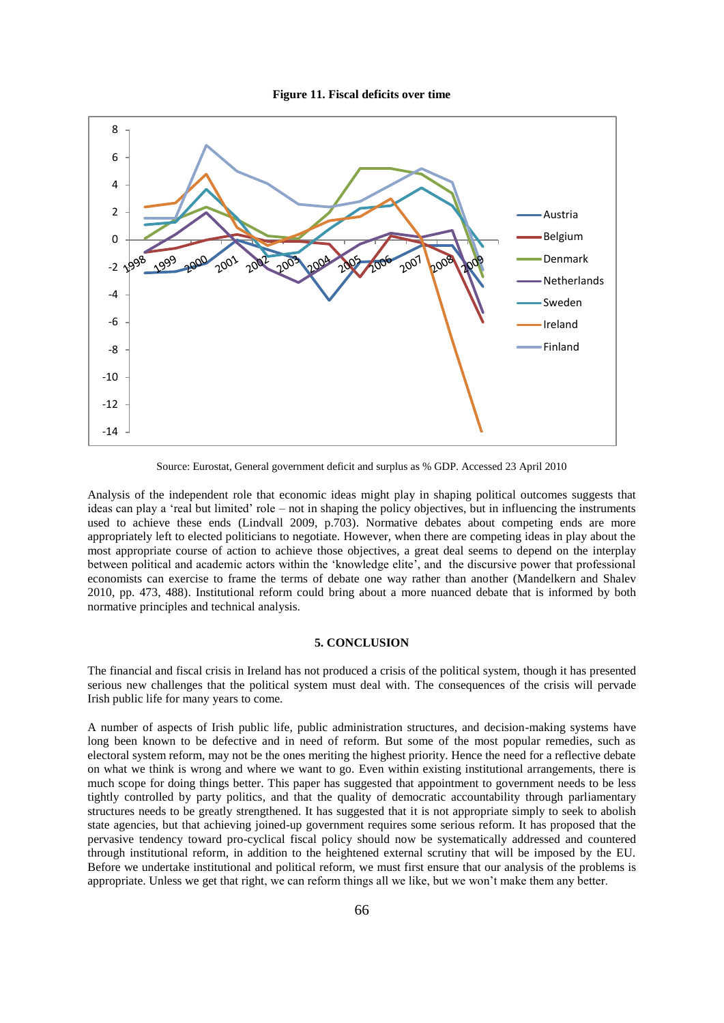



Source: Eurostat, General government deficit and surplus as % GDP. Accessed 23 April 2010

Analysis of the independent role that economic ideas might play in shaping political outcomes suggests that ideas can play a 'real but limited' role – not in shaping the policy objectives, but in influencing the instruments used to achieve these ends (Lindvall 2009, p.703). Normative debates about competing ends are more appropriately left to elected politicians to negotiate. However, when there are competing ideas in play about the most appropriate course of action to achieve those objectives, a great deal seems to depend on the interplay between political and academic actors within the 'knowledge elite', and the discursive power that professional economists can exercise to frame the terms of debate one way rather than another (Mandelkern and Shalev 2010, pp. 473, 488). Institutional reform could bring about a more nuanced debate that is informed by both normative principles and technical analysis.

## **5. CONCLUSION**

The financial and fiscal crisis in Ireland has not produced a crisis of the political system, though it has presented serious new challenges that the political system must deal with. The consequences of the crisis will pervade Irish public life for many years to come.

A number of aspects of Irish public life, public administration structures, and decision-making systems have long been known to be defective and in need of reform. But some of the most popular remedies, such as electoral system reform, may not be the ones meriting the highest priority. Hence the need for a reflective debate on what we think is wrong and where we want to go. Even within existing institutional arrangements, there is much scope for doing things better. This paper has suggested that appointment to government needs to be less tightly controlled by party politics, and that the quality of democratic accountability through parliamentary structures needs to be greatly strengthened. It has suggested that it is not appropriate simply to seek to abolish state agencies, but that achieving joined-up government requires some serious reform. It has proposed that the pervasive tendency toward pro-cyclical fiscal policy should now be systematically addressed and countered through institutional reform, in addition to the heightened external scrutiny that will be imposed by the EU. Before we undertake institutional and political reform, we must first ensure that our analysis of the problems is appropriate. Unless we get that right, we can reform things all we like, but we won't make them any better.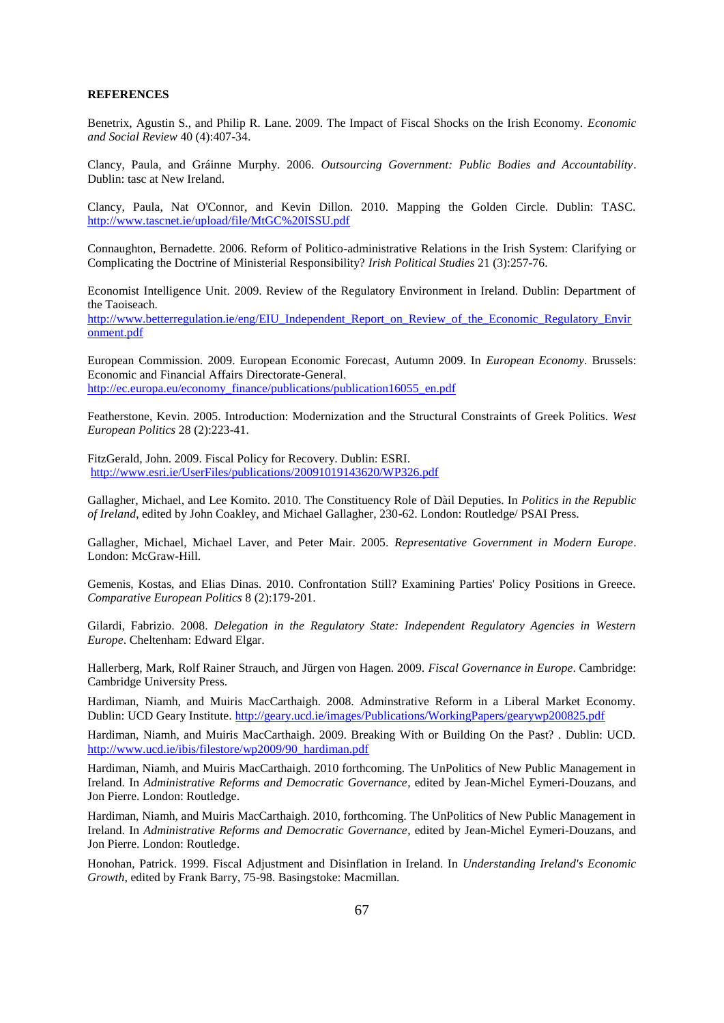### **REFERENCES**

Benetrix, Agustin S., and Philip R. Lane. 2009. The Impact of Fiscal Shocks on the Irish Economy. *Economic and Social Review* 40 (4):407-34.

Clancy, Paula, and Gráinne Murphy. 2006. *Outsourcing Government: Public Bodies and Accountability*. Dublin: tasc at New Ireland.

Clancy, Paula, Nat O'Connor, and Kevin Dillon. 2010. Mapping the Golden Circle. Dublin: TASC. <http://www.tascnet.ie/upload/file/MtGC%20ISSU.pdf>

Connaughton, Bernadette. 2006. Reform of Politico-administrative Relations in the Irish System: Clarifying or Complicating the Doctrine of Ministerial Responsibility? *Irish Political Studies* 21 (3):257-76.

Economist Intelligence Unit. 2009. Review of the Regulatory Environment in Ireland. Dublin: Department of the Taoiseach.

[http://www.betterregulation.ie/eng/EIU\\_Independent\\_Report\\_on\\_Review\\_of\\_the\\_Economic\\_Regulatory\\_Envir](http://www.betterregulation.ie/eng/EIU_Independent_Report_on_Review_of_the_Economic_Regulatory_Environment.pdf) [onment.pdf](http://www.betterregulation.ie/eng/EIU_Independent_Report_on_Review_of_the_Economic_Regulatory_Environment.pdf)

European Commission. 2009. European Economic Forecast, Autumn 2009. In *European Economy*. Brussels: Economic and Financial Affairs Directorate-General. [http://ec.europa.eu/economy\\_finance/publications/publication16055\\_en.pdf](http://ec.europa.eu/economy_finance/publications/publication16055_en.pdf)

Featherstone, Kevin. 2005. Introduction: Modernization and the Structural Constraints of Greek Politics. *West European Politics* 28 (2):223-41.

FitzGerald, John. 2009. Fiscal Policy for Recovery. Dublin: ESRI. <http://www.esri.ie/UserFiles/publications/20091019143620/WP326.pdf>

Gallagher, Michael, and Lee Komito. 2010. The Constituency Role of Dàil Deputies. In *Politics in the Republic of Ireland*, edited by John Coakley, and Michael Gallagher, 230-62. London: Routledge/ PSAI Press.

Gallagher, Michael, Michael Laver, and Peter Mair. 2005. *Representative Government in Modern Europe*. London: McGraw-Hill.

Gemenis, Kostas, and Elias Dinas. 2010. Confrontation Still? Examining Parties' Policy Positions in Greece. *Comparative European Politics* 8 (2):179-201.

Gilardi, Fabrizio. 2008. *Delegation in the Regulatory State: Independent Regulatory Agencies in Western Europe*. Cheltenham: Edward Elgar.

Hallerberg, Mark, Rolf Rainer Strauch, and Jürgen von Hagen. 2009. *Fiscal Governance in Europe*. Cambridge: Cambridge University Press.

Hardiman, Niamh, and Muiris MacCarthaigh. 2008. Adminstrative Reform in a Liberal Market Economy. Dublin: UCD Geary Institute. <http://geary.ucd.ie/images/Publications/WorkingPapers/gearywp200825.pdf>

Hardiman, Niamh, and Muiris MacCarthaigh. 2009. Breaking With or Building On the Past? . Dublin: UCD. [http://www.ucd.ie/ibis/filestore/wp2009/90\\_hardiman.pdf](http://www.ucd.ie/ibis/filestore/wp2009/90_hardiman.pdf)

Hardiman, Niamh, and Muiris MacCarthaigh. 2010 forthcoming. The UnPolitics of New Public Management in Ireland. In *Administrative Reforms and Democratic Governance*, edited by Jean-Michel Eymeri-Douzans, and Jon Pierre. London: Routledge.

Hardiman, Niamh, and Muiris MacCarthaigh. 2010, forthcoming. The UnPolitics of New Public Management in Ireland. In *Administrative Reforms and Democratic Governance*, edited by Jean-Michel Eymeri-Douzans, and Jon Pierre. London: Routledge.

Honohan, Patrick. 1999. Fiscal Adjustment and Disinflation in Ireland. In *Understanding Ireland's Economic Growth*, edited by Frank Barry, 75-98. Basingstoke: Macmillan.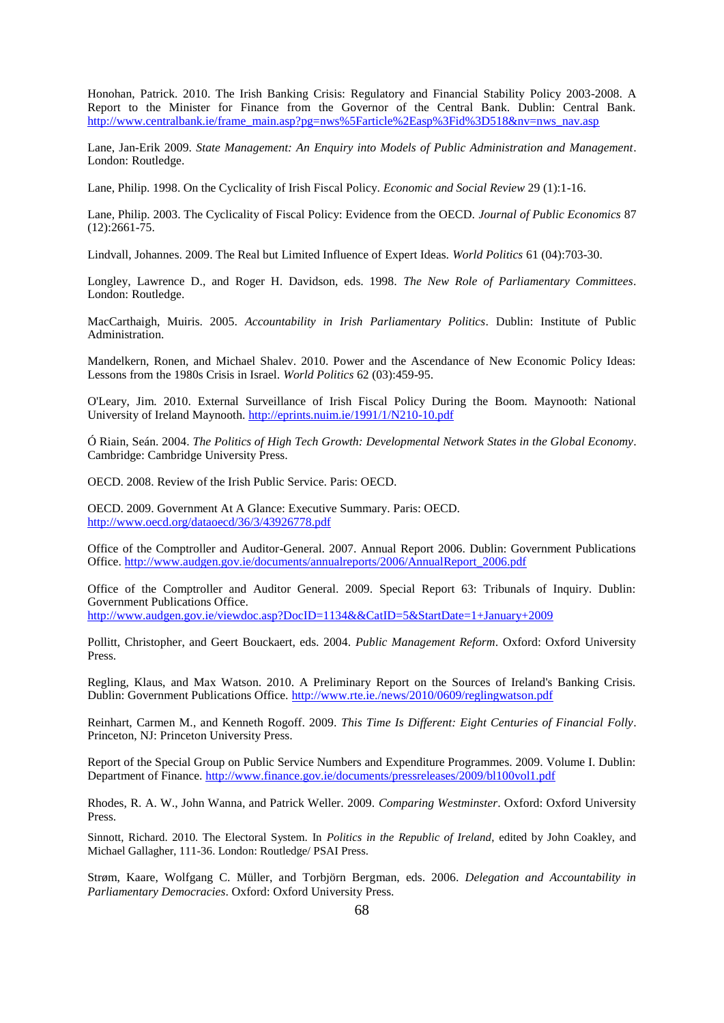Honohan, Patrick. 2010. The Irish Banking Crisis: Regulatory and Financial Stability Policy 2003-2008. A Report to the Minister for Finance from the Governor of the Central Bank. Dublin: Central Bank. [http://www.centralbank.ie/frame\\_main.asp?pg=nws%5Farticle%2Easp%3Fid%3D518&nv=nws\\_nav.asp](http://www.centralbank.ie/frame_main.asp?pg=nws%5Farticle%2Easp%3Fid%3D518&nv=nws_nav.asp)

Lane, Jan-Erik 2009. *State Management: An Enquiry into Models of Public Administration and Management*. London: Routledge.

Lane, Philip. 1998. On the Cyclicality of Irish Fiscal Policy. *Economic and Social Review* 29 (1):1-16.

Lane, Philip. 2003. The Cyclicality of Fiscal Policy: Evidence from the OECD. *Journal of Public Economics* 87 (12):2661-75.

Lindvall, Johannes. 2009. The Real but Limited Influence of Expert Ideas. *World Politics* 61 (04):703-30.

Longley, Lawrence D., and Roger H. Davidson, eds. 1998. *The New Role of Parliamentary Committees*. London: Routledge.

MacCarthaigh, Muiris. 2005. *Accountability in Irish Parliamentary Politics*. Dublin: Institute of Public Administration.

Mandelkern, Ronen, and Michael Shalev. 2010. Power and the Ascendance of New Economic Policy Ideas: Lessons from the 1980s Crisis in Israel. *World Politics* 62 (03):459-95.

O'Leary, Jim. 2010. External Surveillance of Irish Fiscal Policy During the Boom. Maynooth: National University of Ireland Maynooth.<http://eprints.nuim.ie/1991/1/N210-10.pdf>

Ó Riain, Seán. 2004. *The Politics of High Tech Growth: Developmental Network States in the Global Economy*. Cambridge: Cambridge University Press.

OECD. 2008. Review of the Irish Public Service. Paris: OECD.

OECD. 2009. Government At A Glance: Executive Summary. Paris: OECD. <http://www.oecd.org/dataoecd/36/3/43926778.pdf>

Office of the Comptroller and Auditor-General. 2007. Annual Report 2006. Dublin: Government Publications Office. [http://www.audgen.gov.ie/documents/annualreports/2006/AnnualReport\\_2006.pdf](http://www.audgen.gov.ie/documents/annualreports/2006/AnnualReport_2006.pdf)

Office of the Comptroller and Auditor General. 2009. Special Report 63: Tribunals of Inquiry. Dublin: Government Publications Office.

<http://www.audgen.gov.ie/viewdoc.asp?DocID=1134&&CatID=5&StartDate=1+January+2009>

Pollitt, Christopher, and Geert Bouckaert, eds. 2004. *Public Management Reform*. Oxford: Oxford University Press.

Regling, Klaus, and Max Watson. 2010. A Preliminary Report on the Sources of Ireland's Banking Crisis. Dublin: Government Publications Office. <http://www.rte.ie./news/2010/0609/reglingwatson.pdf>

Reinhart, Carmen M., and Kenneth Rogoff. 2009. *This Time Is Different: Eight Centuries of Financial Folly*. Princeton, NJ: Princeton University Press.

Report of the Special Group on Public Service Numbers and Expenditure Programmes. 2009. Volume I. Dublin: Department of Finance. <http://www.finance.gov.ie/documents/pressreleases/2009/bl100vol1.pdf>

Rhodes, R. A. W., John Wanna, and Patrick Weller. 2009. *Comparing Westminster*. Oxford: Oxford University Press.

Sinnott, Richard. 2010. The Electoral System. In *Politics in the Republic of Ireland*, edited by John Coakley, and Michael Gallagher, 111-36. London: Routledge/ PSAI Press.

Strøm, Kaare, Wolfgang C. Müller, and Torbjörn Bergman, eds. 2006. *Delegation and Accountability in Parliamentary Democracies*. Oxford: Oxford University Press.